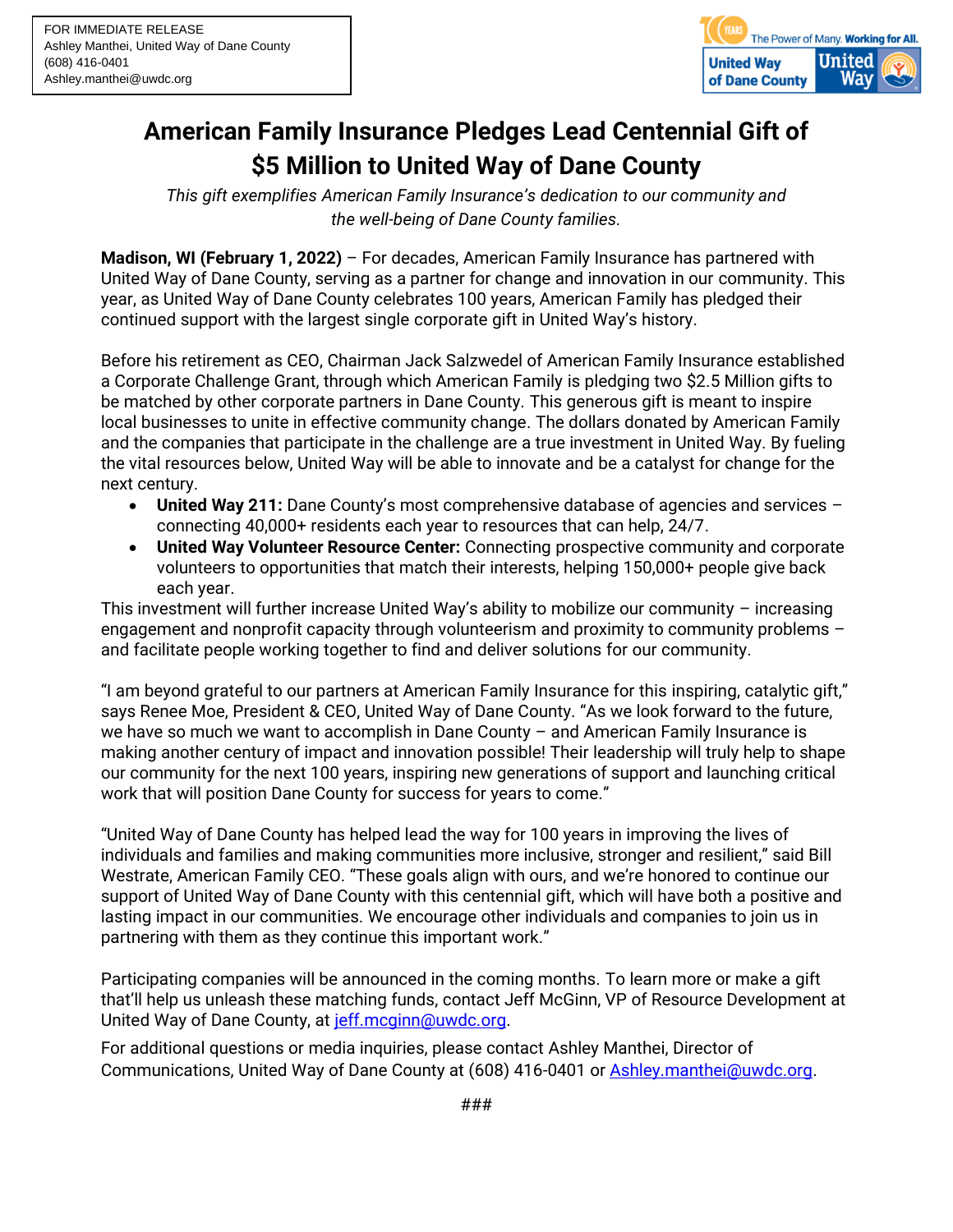

## **American Family Insurance Pledges Lead Centennial Gift of \$5 Million to United Way of Dane County**

*This gift exemplifies American Family Insurance's dedication to our community and the well-being of Dane County families.*

**Madison, WI (February 1, 2022)** – For decades, American Family Insurance has partnered with United Way of Dane County, serving as a partner for change and innovation in our community. This year, as United Way of Dane County celebrates 100 years, American Family has pledged their continued support with the largest single corporate gift in United Way's history.

Before his retirement as CEO, Chairman Jack Salzwedel of American Family Insurance established a Corporate Challenge Grant, through which American Family is pledging two \$2.5 Million gifts to be matched by other corporate partners in Dane County. This generous gift is meant to inspire local businesses to unite in effective community change. The dollars donated by American Family and the companies that participate in the challenge are a true investment in United Way. By fueling the vital resources below, United Way will be able to innovate and be a catalyst for change for the next century.

- **United Way 211:** Dane County's most comprehensive database of agencies and services connecting 40,000+ residents each year to resources that can help, 24/7.
- **United Way Volunteer Resource Center:** Connecting prospective community and corporate volunteers to opportunities that match their interests, helping 150,000+ people give back each year.

This investment will further increase United Way's ability to mobilize our community – increasing engagement and nonprofit capacity through volunteerism and proximity to community problems – and facilitate people working together to find and deliver solutions for our community.

"I am beyond grateful to our partners at American Family Insurance for this inspiring, catalytic gift," says Renee Moe, President & CEO, United Way of Dane County. "As we look forward to the future, we have so much we want to accomplish in Dane County – and American Family Insurance is making another century of impact and innovation possible! Their leadership will truly help to shape our community for the next 100 years, inspiring new generations of support and launching critical work that will position Dane County for success for years to come."

"United Way of Dane County has helped lead the way for 100 years in improving the lives of individuals and families and making communities more inclusive, stronger and resilient," said Bill Westrate, American Family CEO. "These goals align with ours, and we're honored to continue our support of United Way of Dane County with this centennial gift, which will have both a positive and lasting impact in our communities. We encourage other individuals and companies to join us in partnering with them as they continue this important work."

Participating companies will be announced in the coming months. To learn more or make a gift that'll help us unleash these matching funds, contact Jeff McGinn, VP of Resource Development at United Way of Dane County, at [jeff.mcginn@uwdc.org.](mailto:jeff.mcginn@uwdc.org)

For additional questions or media inquiries, please contact Ashley Manthei, Director of Communications, United Way of Dane County at (608) 416-0401 or **Ashley.manthei@uwdc.org.**